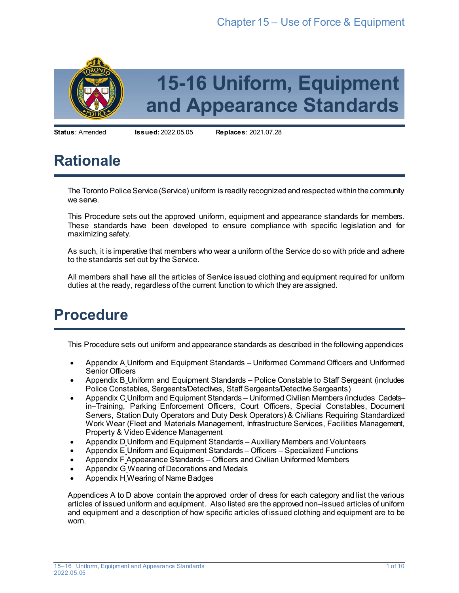

**Status**: Amended **Issued:**2022.05.05 **Replaces**: 2021.07.28

# **Rationale**

The Toronto Police Service (Service) uniform is readily recognized and respected within the community we serve.

This Procedure sets out the approved uniform, equipment and appearance standards for members. These standards have been developed to ensure compliance with specific legislation and for maximizing safety.

As such, it is imperative that members who wear a uniform of the Service do so with pride and adhere to the standards set out by the Service.

All members shall have all the articles of Service issued clothing and equipment required for uniform duties at the ready, regardless of the current function to which they are assigned.

## **Procedure**

This Procedure sets out uniform and appearance standards as described in the following appendices

- Appendix A Uniform and Equipment Standards Uniformed Command Officers and Uniformed Senior Officers
- Appendix B Uniform and Equipment Standards Police Constable to Staff Sergeant (includes Police Constables, Sergeants/Detectives, Staff Sergeants/Detective Sergeants)
- Appendix C Uniform and Equipment Standards Uniformed Civilian Members (includes Cadets– in–Training, Parking Enforcement Officers, Court Officers, Special Constables, Document Servers, Station Duty Operators and Duty Desk Operators) & Civilians Requiring Standardized Work Wear (Fleet and Materials Management, Infrastructure Services, Facilities Management, Property & Video Evidence Management
- Appendix D Uniform and Equipment Standards Auxiliary Members and Volunteers
- Appendix E Uniform and Equipment Standards Officers Specialized Functions
- Appendix F Appearance Standards Officers and Civilian Uniformed Members
- Appendix G Wearing of Decorations and Medals
- Appendix H Wearing of Name Badges

Appendices A to D above contain the approved order of dress for each category and list the various articles of issued uniform and equipment. Also listed are the approved non–issued articles of uniform and equipment and a description of how specific articles of issued clothing and equipment are to be worn.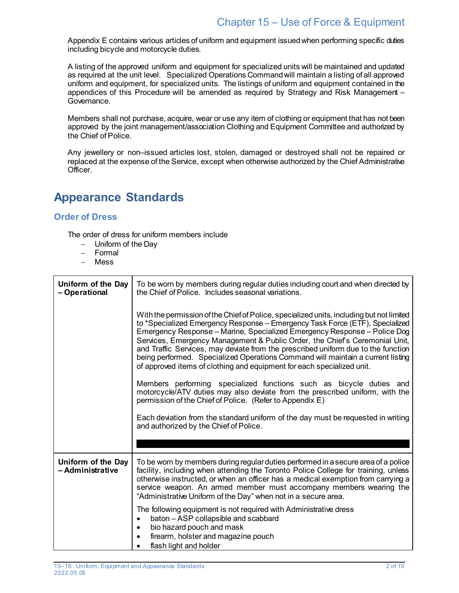Appendix E contains various articles of uniform and equipment issued when performing specific duties including bicycle and motorcycle duties.

A listing of the approved uniform and equipment for specialized units will be maintained and updated as required at the unit level. Specialized Operations Command will maintain a listing of all approved uniform and equipment, for specialized units. The listings of uniform and equipment contained in the appendices of this Procedure will be amended as required by Strategy and Risk Management – Governance.

Members shall not purchase, acquire, wear or use any item of clothing or equipment that has not been approved by the joint management/association Clothing and Equipment Committee and authorized by the Chief of Police.

Any jewellery or non–issued articles lost, stolen, damaged or destroyed shall not be repaired or replaced at the expense of the Service, except when otherwise authorized by the Chief Administrative Officer.

## **Appearance Standards**

#### **Order of Dress**

The order of dress for uniform members include

- − Uniform of the Day
- − Formal
- − Mess

| Uniform of the Day<br>- Operational    | To be worn by members during regular duties including court and when directed by<br>the Chief of Police. Includes seasonal variations.                                                                                                                                                                                                                                                                                                                                                                                                                                                |
|----------------------------------------|---------------------------------------------------------------------------------------------------------------------------------------------------------------------------------------------------------------------------------------------------------------------------------------------------------------------------------------------------------------------------------------------------------------------------------------------------------------------------------------------------------------------------------------------------------------------------------------|
|                                        | With the permission of the Chief of Police, specialized units, including but not limited<br>to *Specialized Emergency Response - Emergency Task Force (ETF), Specialized<br>Emergency Response – Marine, Specialized Emergency Response – Police Dog<br>Services, Emergency Management & Public Order, the Chief's Ceremonial Unit,<br>and Traffic Services, may deviate from the prescribed uniform due to the function<br>being performed. Specialized Operations Command will maintain a current listing<br>of approved items of clothing and equipment for each specialized unit. |
|                                        | Members performing specialized functions such as bicycle duties and<br>motorcycle/ATV duties may also deviate from the prescribed uniform, with the<br>permission of the Chief of Police. (Refer to Appendix E)                                                                                                                                                                                                                                                                                                                                                                       |
|                                        | Each deviation from the standard uniform of the day must be requested in writing<br>and authorized by the Chief of Police.                                                                                                                                                                                                                                                                                                                                                                                                                                                            |
|                                        |                                                                                                                                                                                                                                                                                                                                                                                                                                                                                                                                                                                       |
| Uniform of the Day<br>– Administrative | To be worn by members during regular duties performed in a secure area of a police<br>facility, including when attending the Toronto Police College for training, unless<br>otherwise instructed, or when an officer has a medical exemption from carrying a<br>service weapon. An armed member must accompany members wearing the<br>"Administrative Uniform of the Day" when not in a secure area.                                                                                                                                                                                  |
|                                        | The following equipment is not required with Administrative dress<br>baton - ASP collapsible and scabbard<br>$\bullet$<br>bio hazard pouch and mask<br>$\bullet$<br>firearm, holster and magazine pouch<br>$\bullet$<br>flash light and holder                                                                                                                                                                                                                                                                                                                                        |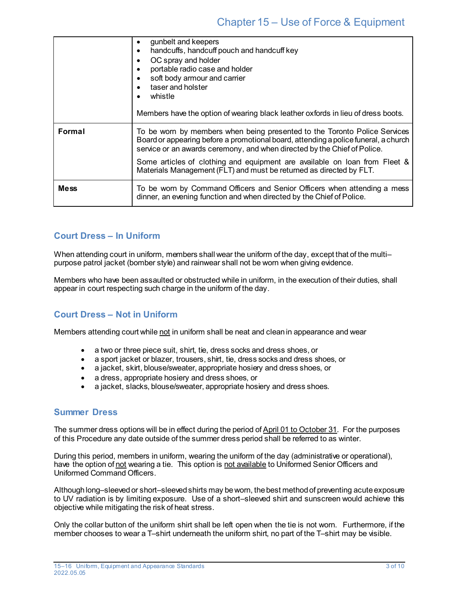|             | gunbelt and keepers<br>٠<br>handcuffs, handcuff pouch and handcuff key<br>٠<br>OC spray and holder<br>$\bullet$<br>portable radio case and holder<br>soft body armour and carrier<br>٠<br>taser and holster<br>whistle<br>Members have the option of wearing black leather oxfords in lieu of dress boots.                                                                                        |
|-------------|---------------------------------------------------------------------------------------------------------------------------------------------------------------------------------------------------------------------------------------------------------------------------------------------------------------------------------------------------------------------------------------------------|
| Formal      | To be worn by members when being presented to the Toronto Police Services<br>Board or appearing before a promotional board, attending a police funeral, a church<br>service or an awards ceremony, and when directed by the Chief of Police.<br>Some articles of clothing and equipment are available on loan from Fleet &<br>Materials Management (FLT) and must be returned as directed by FLT. |
| <b>Mess</b> | To be worn by Command Officers and Senior Officers when attending a mess<br>dinner, an evening function and when directed by the Chief of Police.                                                                                                                                                                                                                                                 |

### **Court Dress – In Uniform**

When attending court in uniform, members shall wear the uniform of the day, except that of the multipurpose patrol jacket (bomber style) and rainwear shall not be worn when giving evidence.

Members who have been assaulted or obstructed while in uniform, in the execution of their duties, shall appear in court respecting such charge in the uniform of the day.

### **Court Dress – Not in Uniform**

Members attending court while not in uniform shall be neat and clean in appearance and wear

- a two or three piece suit, shirt, tie, dress socks and dress shoes, or
- a sport jacket or blazer, trousers, shirt, tie, dress socks and dress shoes, or
- a jacket, skirt, blouse/sweater, appropriate hosiery and dress shoes, or
- a dress, appropriate hosiery and dress shoes, or
- a jacket, slacks, blouse/sweater, appropriate hosiery and dress shoes.

#### **Summer Dress**

The summer dress options will be in effect during the period of April 01 to October 31. For the purposes of this Procedure any date outside of the summer dress period shall be referred to as winter.

During this period, members in uniform, wearing the uniform of the day (administrative or operational), have the option of not wearing a tie. This option is not available to Uniformed Senior Officers and Uniformed Command Officers.

Although long–sleeved or short–sleeved shirts may be worn, the best method of preventing acute exposure to UV radiation is by limiting exposure. Use of a short–sleeved shirt and sunscreen would achieve this objective while mitigating the risk of heat stress.

Only the collar button of the uniform shirt shall be left open when the tie is not worn. Furthermore, if the member chooses to wear a T–shirt underneath the uniform shirt, no part of the T–shirt may be visible.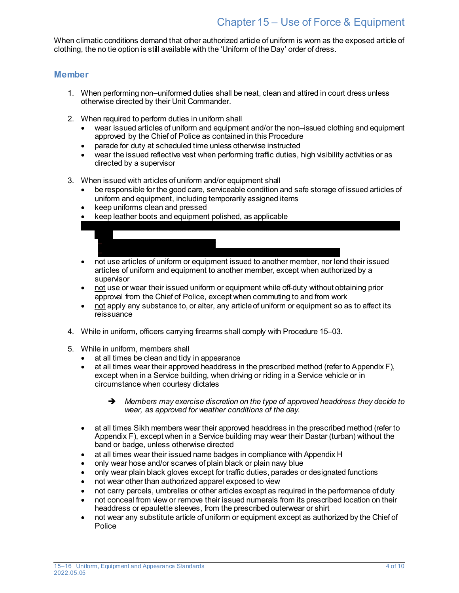## Chapter 15 – Use of Force & Equipment

When climatic conditions demand that other authorized article of uniform is worn as the exposed article of clothing, the no tie option is still available with the 'Uniform of the Day' order of dress.

#### **Member**

- 1. When performing non–uniformed duties shall be neat, clean and attired in court dress unless otherwise directed by their Unit Commander.
- 2. When required to perform duties in uniform shall
	- wear issued articles of uniform and equipment and/or the non–issued clothing and equipment approved by the Chief of Police as contained in this Procedure
	- parade for duty at scheduled time unless otherwise instructed
	- wear the issued reflective vest when performing traffic duties, high visibility activities or as directed by a supervisor
- 3. When issued with articles of uniform and/or equipment shall
	- be responsible for the good care, serviceable condition and safe storage of issued articles of uniform and equipment, including temporarily assigned items

 $\mathbf{e}^{\mathbf{e}}$  their issued of the assigned police vehicle and wear it the assigned police vehicle and wear it the assigned police vehicle and wear it the assigned police vehicle and wear it the assigned police vehicle a

• keep uniforms clean and pressed

− ordered to do so by a supervisor and to do

when

- keep leather boots and equipment polished, as applicable
- − it is believed there is a potential for serious bodily harm to themselves bodily harm to the main • not use articles of uniform or equipment issued to another member, nor lend their issued articles of uniform and equipment to another member, except when authorized by a supervisor
- not use or wear their issued uniform or equipment while off-duty without obtaining prior approval from the Chief of Police, except when commuting to and from work
- not apply any substance to, or alter, any article of uniform or equipment so as to affect its reissuance
- 4. While in uniform, officers carrying firearms shall comply with Procedure 15–03.
- 5. While in uniform, members shall
	- at all times be clean and tidy in appearance
	- $\bullet$  at all times wear their approved headdress in the prescribed method (refer to Appendix F), except when in a Service building, when driving or riding in a Service vehicle or in circumstance when courtesy dictates
		- *Members may exercise discretion on the type of approved headdress they decide to wear, as approved for weather conditions of the day.*
	- at all times Sikh members wear their approved headdress in the prescribed method (refer to Appendix F), except when in a Service building may wear their Dastar (turban) without the band or badge, unless otherwise directed
	- at all times wear their issued name badges in compliance with Appendix H
	- only wear hose and/or scarves of plain black or plain navy blue
	- only wear plain black gloves except for traffic duties, parades or designated functions
	- not wear other than authorized apparel exposed to view
	- not carry parcels, umbrellas or other articles except as required in the performance of duty
	- not conceal from view or remove their issued numerals from its prescribed location on their headdress or epaulette sleeves, from the prescribed outerwear or shirt
	- not wear any substitute article of uniform or equipment except as authorized by the Chief of Police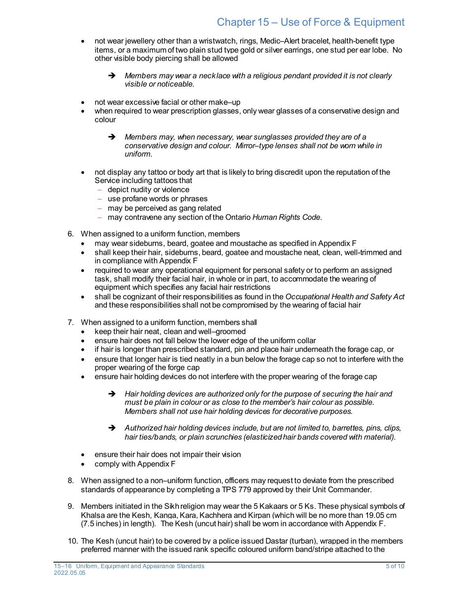- not wear jewellery other than a wristwatch, rings, Medic–Alert bracelet, health-benefit type items, or a maximum of two plain stud type gold or silver earrings, one stud per ear lobe. No other visible body piercing shall be allowed
	- *Members may wear a necklace with a religious pendant provided it is not clearly visible or noticeable.*
- not wear excessive facial or other make–up
- when required to wear prescription glasses, only wear glasses of a conservative design and colour
	- *Members may, when necessary, wear sunglasses provided they are of a conservative design and colour. Mirror–type lenses shall not be worn while in uniform.*
- not display any tattoo or body art that is likely to bring discredit upon the reputation of the Service including tattoos that
	- − depict nudity or violence
	- − use profane words or phrases
	- − may be perceived as gang related
	- − may contravene any section of the Ontario *Human Rights Code*.
- 6. When assigned to a uniform function, members
	- may wear sideburns, beard, goatee and moustache as specified in Appendix F
	- shall keep their hair, sideburns, beard, goatee and moustache neat, clean, well-trimmed and in compliance with Appendix F
	- required to wear any operational equipment for personal safety or to perform an assigned task, shall modify their facial hair, in whole or in part, to accommodate the wearing of equipment which specifies any facial hair restrictions
	- shall be cognizant of their responsibilities as found in the *Occupational Health and Safety Act* and these responsibilities shall not be compromised by the wearing of facial hair
- 7. When assigned to a uniform function, members shall
	- keep their hair neat, clean and well–groomed
	- ensure hair does not fall below the lower edge of the uniform collar
	- if hair is longer than prescribed standard, pin and place hair underneath the forage cap, or
	- ensure that longer hair is tied neatly in a bun below the forage cap so not to interfere with the proper wearing of the forge cap
	- ensure hair holding devices do not interfere with the proper wearing of the forage cap
		- *Hair holding devices are authorized only for the purpose of securing the hair and must be plain in colour or as close to the member's hair colour as possible. Members shall not use hair holding devices for decorative purposes.*
		- *Authorized hair holding devices include, but are not limited to, barrettes, pins, clips, hair ties/bands, or plain scrunchies (elasticized hair bands covered with material).*
	- ensure their hair does not impair their vision
	- comply with Appendix F
- 8. When assigned to a non–uniform function, officers may request to deviate from the prescribed standards of appearance by completing a TPS 779 approved by their Unit Commander.
- 9. Members initiated in the Sikh religion may wear the 5 Kakaars or 5 Ks. These physical symbols of Khalsa are the Kesh, Kanga, Kara, Kachhera and Kirpan (which will be no more than 19.05 cm (7.5 inches) in length). The Kesh (uncut hair) shall be worn in accordance with Appendix F.
- 10. The Kesh (uncut hair) to be covered by a police issued Dastar (turban), wrapped in the members preferred manner with the issued rank specific coloured uniform band/stripe attached to the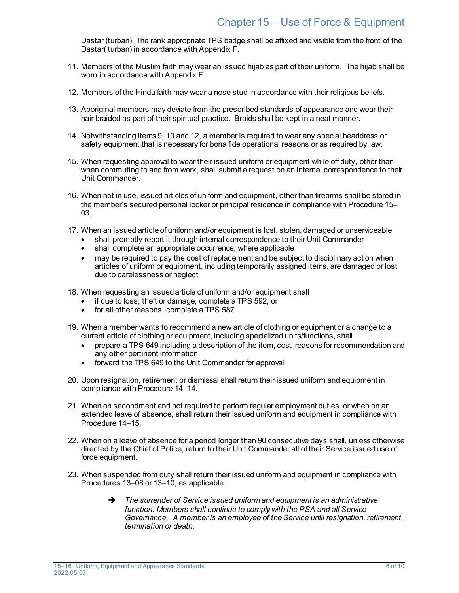Dastar (turban). The rank appropriate TPS badge shall be affixed and visible from the front of the Dastar( turban) in accordance with Appendix F.

- 11. Members of the Muslim faith may wear an issued hijab as part of their uniform. The hijab shall be worn in accordance with Appendix F.
- 12. Members of the Hindu faith may wear a nose stud in accordance with their religious beliefs.
- 13. Aboriginal members may deviate from the prescribed standards of appearance and wear their hair braided as part of their spiritual practice. Braids shall be kept in a neat manner.
- 14. Notwithstanding items 9, 10 and 12, a member is required to wear any special headdress or safety equipment that is necessary for bona fide operational reasons or as required by law.
- 15. When requesting approval to wear their issued uniform or equipment while off duty, other than when commuting to and from work, shall submit a request on an internal correspondence to their Unit Commander.
- 16. When not in use, issued articles of uniform and equipment, other than firearms shall be stored in the member's secured personal locker or principal residence in compliance with Procedure 15– 03.
- 17. When an issued article of uniform and/or equipment is lost, stolen, damaged or unserviceable
	- shall promptly report it through internal correspondence to their Unit Commander
	- shall complete an appropriate occurrence, where applicable
	- may be required to pay the cost of replacement and be subject to disciplinary action when articles of uniform or equipment, including temporarily assigned items, are damaged or lost due to carelessness or neglect
- 18. When requesting an issued article of uniform and/or equipment shall
	- if due to loss, theft or damage, complete a TPS 592, or
	- for all other reasons, complete a TPS 587
- 19. When a member wants to recommend a new article of clothing or equipment or a change to a current article of clothing or equipment, including specialized units/functions, shall
	- prepare a TPS 649 including a description of the item, cost, reasons for recommendation and any other pertinent information
	- forward the TPS 649 to the Unit Commander for approval
- 20. Upon resignation, retirement or dismissal shall return their issued uniform and equipment in compliance with Procedure 14–14.
- 21. When on secondment and not required to perform regular employment duties, or when on an extended leave of absence, shall return their issued uniform and equipment in compliance with Procedure 14–15.
- 22. When on a leave of absence for a period longer than 90 consecutive days shall, unless otherwise directed by the Chief of Police, return to their Unit Commander all of their Service issued use of force equipment.
- 23. When suspended from duty shall return their issued uniform and equipment in compliance with Procedures 13–08 or 13–10, as applicable.
	- *The surrender of Service issued uniform and equipment is an administrative function. Members shall continue to comply with the PSA and all Service Governance. A member is an employee of the Service until resignation, retirement, termination or death.*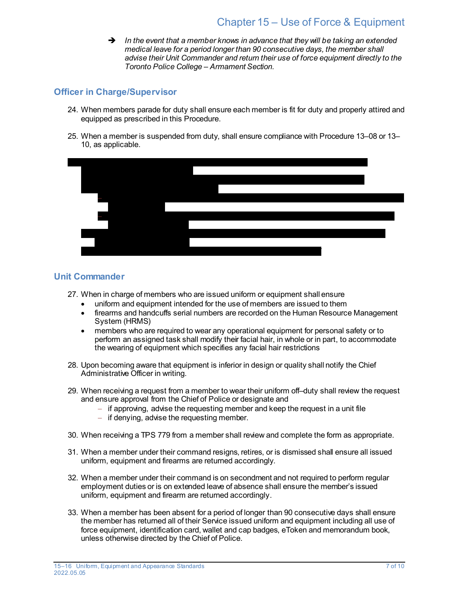*In the event that a member knows in advance that they will be taking an extended medical leave for a period longer than 90 consecutive days, the member shall advise their Unit Commander and return their use of force equipment directly to the Toronto Police College – Armament Section.*

#### **Officer in Charge/Supervisor**

- 24. When members parade for duty shall ensure each member is fit for duty and properly attired and equipped as prescribed in this Procedure.
- 25. When a member is suspended from duty, shall ensure compliance with Procedure 13–08 or 13– 10, as applicable.



#### **Unit Commander**

- 27. When in charge of members who are issued uniform or equipment shall ensure
	- uniform and equipment intended for the use of members are issued to them
	- firearms and handcuffs serial numbers are recorded on the Human Resource Management System (HRMS)
	- members who are required to wear any operational equipment for personal safety or to perform an assigned task shall modify their facial hair, in whole or in part, to accommodate the wearing of equipment which specifies any facial hair restrictions
- 28. Upon becoming aware that equipment is inferior in design or quality shall notify the Chief Administrative Officer in writing.
- 29. When receiving a request from a member to wear their uniform off–duty shall review the request and ensure approval from the Chief of Police or designate and
	- − if approving, advise the requesting member and keep the request in a unit file
	- − if denying, advise the requesting member.
- 30. When receiving a TPS 779 from a member shall review and complete the form as appropriate.
- 31. When a member under their command resigns, retires, or is dismissed shall ensure all issued uniform, equipment and firearms are returned accordingly.
- 32. When a member under their command is on secondment and not required to perform regular employment duties or is on extended leave of absence shall ensure the member's issued uniform, equipment and firearm are returned accordingly.
- 33. When a member has been absent for a period of longer than 90 consecutive days shall ensure the member has returned all of their Service issued uniform and equipment including all use of force equipment, identification card, wallet and cap badges, eToken and memorandum book, unless otherwise directed by the Chief of Police.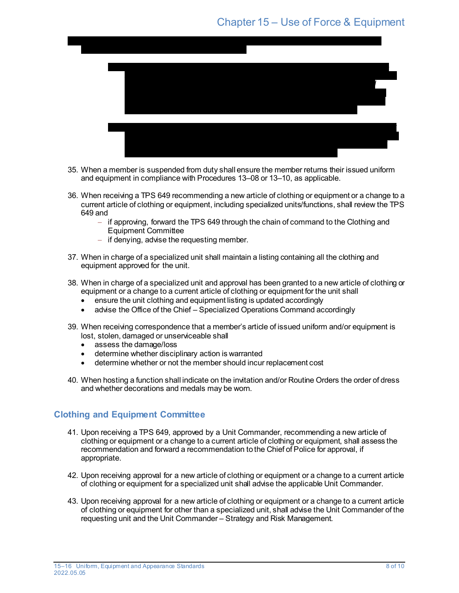### Chapter 15 – Use of Force & Equipment



- 35. When a member is suspended from duty shall ensure the member returns their issued uniform and equipment in compliance with Procedures 13–08 or 13–10, as applicable.
- 36. When receiving a TPS 649 recommending a new article of clothing or equipment or a change to a current article of clothing or equipment, including specialized units/functions, shall review the TPS 649 and
	- − if approving, forward the TPS 649 through the chain of command to the Clothing and Equipment Committee
	- − if denying, advise the requesting member.
- 37. When in charge of a specialized unit shall maintain a listing containing all the clothing and equipment approved for the unit.
- 38. When in charge of a specialized unit and approval has been granted to a new article of clothing or equipment or a change to a current article of clothing or equipment for the unit shall
	- ensure the unit clothing and equipment listing is updated accordingly
	- advise the Office of the Chief Specialized Operations Command accordingly
- 39. When receiving correspondence that a member's article of issued uniform and/or equipment is lost, stolen, damaged or unserviceable shall
	- assess the damage/loss
	- determine whether disciplinary action is warranted
	- determine whether or not the member should incur replacement cost
- 40. When hosting a function shall indicate on the invitation and/or Routine Orders the order of dress and whether decorations and medals may be worn.

### **Clothing and Equipment Committee**

- 41. Upon receiving a TPS 649, approved by a Unit Commander, recommending a new article of clothing or equipment or a change to a current article of clothing or equipment, shall assess the recommendation and forward a recommendation to the Chief of Police for approval, if appropriate.
- 42. Upon receiving approval for a new article of clothing or equipment or a change to a current article of clothing or equipment for a specialized unit shall advise the applicable Unit Commander.
- 43. Upon receiving approval for a new article of clothing or equipment or a change to a current article of clothing or equipment for other than a specialized unit, shall advise the Unit Commander of the requesting unit and the Unit Commander – Strategy and Risk Management.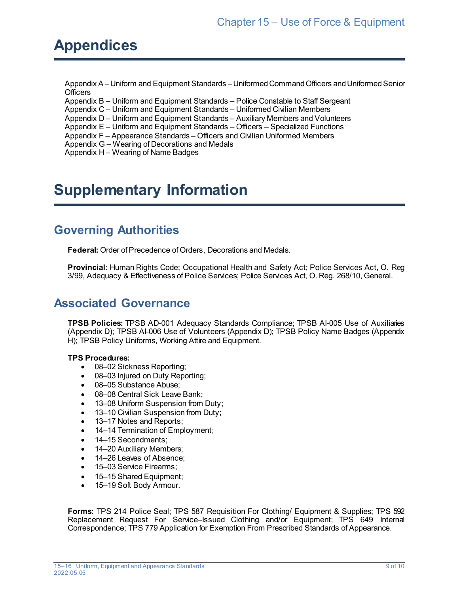# **Appendices**

Appendix A –Uniform and Equipment Standards –Uniformed Command Officers and Uniformed Senior **Officers** 

Appendix B – Uniform and Equipment Standards – Police Constable to Staff Sergeant

Appendix C – Uniform and Equipment Standards – Uniformed Civilian Members

Appendix D – Uniform and Equipment Standards – Auxiliary Members and Volunteers

Appendix E – Uniform and Equipment Standards – Officers – Specialized Functions

Appendix F – Appearance Standards – Officers and Civilian Uniformed Members

Appendix G – Wearing of Decorations and Medals

Appendix H – Wearing of Name Badges

## **Supplementary Information**

## **Governing Authorities**

**Federal:** Order of Precedence of Orders, Decorations and Medals.

**Provincial:** Human Rights Code; Occupational Health and Safety Act; Police Services Act, O. Reg 3/99, Adequacy & Effectiveness of Police Services; Police Services Act, O. Reg. 268/10, General.

### **Associated Governance**

**TPSB Policies:** TPSB AD-001 Adequacy Standards Compliance; TPSB AI-005 Use of Auxiliaries (Appendix D); TPSB AI-006 Use of Volunteers (Appendix D); TPSB Policy Name Badges (Appendix H); TPSB Policy Uniforms, Working Attire and Equipment.

#### **TPS Procedures:**

- 08–02 Sickness Reporting;
- 08–03 Injured on Duty Reporting;
- 08–05 Substance Abuse;
- 08–08 Central Sick Leave Bank;
- 13–08 Uniform Suspension from Duty;
- 13–10 Civilian Suspension from Duty;
- 13–17 Notes and Reports:
- 14–14 Termination of Employment;
- 14–15 Secondments;
- 14–20 Auxiliary Members;
- 14–26 Leaves of Absence;
- 15–03 Service Firearms:
- 15–15 Shared Equipment;
- 15-19 Soft Body Armour.

**Forms:** TPS 214 Police Seal; TPS 587 Requisition For Clothing/ Equipment & Supplies; TPS 592 Replacement Request For Service–Issued Clothing and/or Equipment; TPS 649 Internal Correspondence; TPS 779 Application for Exemption From Prescribed Standards of Appearance.